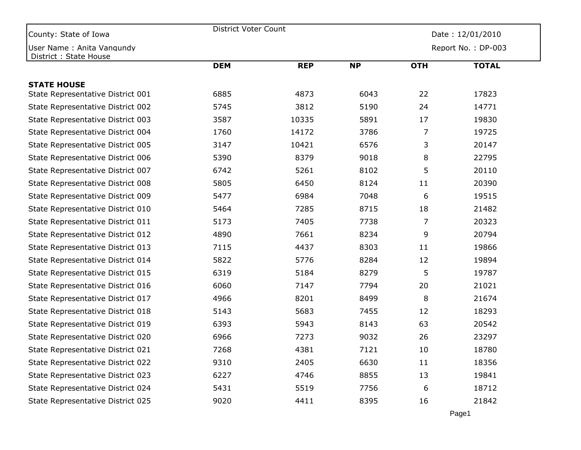| County: State of Iowa                              | District Voter Count |            | Date: 12/01/2010 |                |                    |  |
|----------------------------------------------------|----------------------|------------|------------------|----------------|--------------------|--|
| User Name: Anita Vangundy<br>District: State House |                      |            |                  |                | Report No.: DP-003 |  |
|                                                    | <b>DEM</b>           | <b>REP</b> | <b>NP</b>        | <b>OTH</b>     | <b>TOTAL</b>       |  |
| <b>STATE HOUSE</b>                                 |                      |            |                  |                |                    |  |
| State Representative District 001                  | 6885                 | 4873       | 6043             | 22             | 17823              |  |
| State Representative District 002                  | 5745                 | 3812       | 5190             | 24             | 14771              |  |
| State Representative District 003                  | 3587                 | 10335      | 5891             | 17             | 19830              |  |
| State Representative District 004                  | 1760                 | 14172      | 3786             | 7              | 19725              |  |
| State Representative District 005                  | 3147                 | 10421      | 6576             | 3              | 20147              |  |
| State Representative District 006                  | 5390                 | 8379       | 9018             | 8              | 22795              |  |
| State Representative District 007                  | 6742                 | 5261       | 8102             | 5              | 20110              |  |
| State Representative District 008                  | 5805                 | 6450       | 8124             | 11             | 20390              |  |
| State Representative District 009                  | 5477                 | 6984       | 7048             | 6              | 19515              |  |
| State Representative District 010                  | 5464                 | 7285       | 8715             | 18             | 21482              |  |
| State Representative District 011                  | 5173                 | 7405       | 7738             | $\overline{7}$ | 20323              |  |
| State Representative District 012                  | 4890                 | 7661       | 8234             | 9              | 20794              |  |
| State Representative District 013                  | 7115                 | 4437       | 8303             | 11             | 19866              |  |
| State Representative District 014                  | 5822                 | 5776       | 8284             | 12             | 19894              |  |
| State Representative District 015                  | 6319                 | 5184       | 8279             | 5              | 19787              |  |
| State Representative District 016                  | 6060                 | 7147       | 7794             | 20             | 21021              |  |
| State Representative District 017                  | 4966                 | 8201       | 8499             | 8              | 21674              |  |
| State Representative District 018                  | 5143                 | 5683       | 7455             | 12             | 18293              |  |
| State Representative District 019                  | 6393                 | 5943       | 8143             | 63             | 20542              |  |
| State Representative District 020                  | 6966                 | 7273       | 9032             | 26             | 23297              |  |
| State Representative District 021                  | 7268                 | 4381       | 7121             | 10             | 18780              |  |
| State Representative District 022                  | 9310                 | 2405       | 6630             | 11             | 18356              |  |
| State Representative District 023                  | 6227                 | 4746       | 8855             | 13             | 19841              |  |
| State Representative District 024                  | 5431                 | 5519       | 7756             | 6              | 18712              |  |
| State Representative District 025                  | 9020                 | 4411       | 8395             | 16             | 21842              |  |
|                                                    |                      |            |                  | Page1          |                    |  |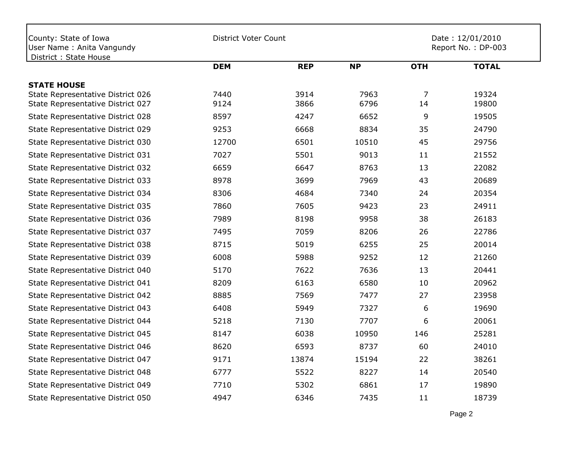| County: State of Iowa<br>User Name: Anita Vangundy<br>District: State House | <b>District Voter Count</b> |              |              | Date: 12/01/2010<br>Report No.: DP-003 |                |  |
|-----------------------------------------------------------------------------|-----------------------------|--------------|--------------|----------------------------------------|----------------|--|
|                                                                             | <b>DEM</b>                  | <b>REP</b>   | <b>NP</b>    | <b>OTH</b>                             | <b>TOTAL</b>   |  |
| <b>STATE HOUSE</b>                                                          |                             |              |              |                                        |                |  |
| State Representative District 026<br>State Representative District 027      | 7440<br>9124                | 3914<br>3866 | 7963<br>6796 | $\overline{7}$<br>14                   | 19324<br>19800 |  |
| State Representative District 028                                           | 8597                        | 4247         | 6652         | 9                                      | 19505          |  |
| State Representative District 029                                           | 9253                        | 6668         | 8834         | 35                                     | 24790          |  |
| State Representative District 030                                           | 12700                       | 6501         | 10510        | 45                                     | 29756          |  |
| State Representative District 031                                           | 7027                        | 5501         | 9013         | 11                                     | 21552          |  |
| State Representative District 032                                           | 6659                        | 6647         | 8763         | 13                                     | 22082          |  |
| State Representative District 033                                           | 8978                        | 3699         | 7969         | 43                                     | 20689          |  |
| State Representative District 034                                           | 8306                        | 4684         | 7340         | 24                                     | 20354          |  |
| State Representative District 035                                           | 7860                        | 7605         | 9423         | 23                                     | 24911          |  |
| State Representative District 036                                           | 7989                        | 8198         | 9958         | 38                                     | 26183          |  |
| State Representative District 037                                           | 7495                        | 7059         | 8206         | 26                                     | 22786          |  |
| State Representative District 038                                           | 8715                        | 5019         | 6255         | 25                                     | 20014          |  |
| State Representative District 039                                           | 6008                        | 5988         | 9252         | 12                                     | 21260          |  |
| State Representative District 040                                           | 5170                        | 7622         | 7636         | 13                                     | 20441          |  |
| State Representative District 041                                           | 8209                        | 6163         | 6580         | 10                                     | 20962          |  |
| State Representative District 042                                           | 8885                        | 7569         | 7477         | 27                                     | 23958          |  |
| State Representative District 043                                           | 6408                        | 5949         | 7327         | 6                                      | 19690          |  |
| State Representative District 044                                           | 5218                        | 7130         | 7707         | 6                                      | 20061          |  |
| State Representative District 045                                           | 8147                        | 6038         | 10950        | 146                                    | 25281          |  |
| State Representative District 046                                           | 8620                        | 6593         | 8737         | 60                                     | 24010          |  |
| State Representative District 047                                           | 9171                        | 13874        | 15194        | 22                                     | 38261          |  |
| State Representative District 048                                           | 6777                        | 5522         | 8227         | 14                                     | 20540          |  |
| State Representative District 049                                           | 7710                        | 5302         | 6861         | 17                                     | 19890          |  |
| State Representative District 050                                           | 4947                        | 6346         | 7435         | 11                                     | 18739          |  |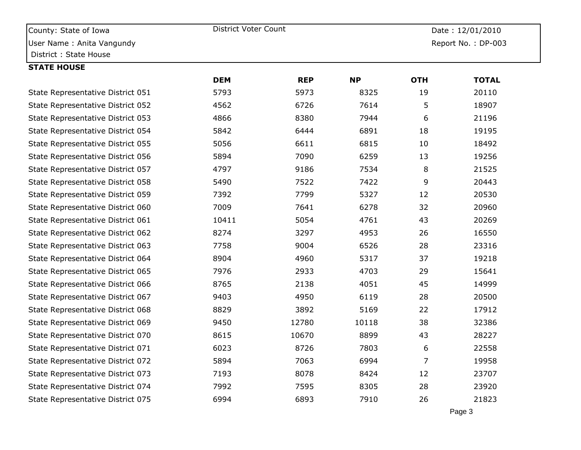| County: State of Iowa             | District Voter Count |            |                    | Date: 12/01/2010 |              |  |
|-----------------------------------|----------------------|------------|--------------------|------------------|--------------|--|
| User Name: Anita Vangundy         |                      |            | Report No.: DP-003 |                  |              |  |
| District: State House             |                      |            |                    |                  |              |  |
| <b>STATE HOUSE</b>                |                      |            |                    |                  |              |  |
|                                   | <b>DEM</b>           | <b>REP</b> | <b>NP</b>          | <b>OTH</b>       | <b>TOTAL</b> |  |
| State Representative District 051 | 5793                 | 5973       | 8325               | 19               | 20110        |  |
| State Representative District 052 | 4562                 | 6726       | 7614               | 5                | 18907        |  |
| State Representative District 053 | 4866                 | 8380       | 7944               | 6                | 21196        |  |
| State Representative District 054 | 5842                 | 6444       | 6891               | 18               | 19195        |  |
| State Representative District 055 | 5056                 | 6611       | 6815               | 10               | 18492        |  |
| State Representative District 056 | 5894                 | 7090       | 6259               | 13               | 19256        |  |
| State Representative District 057 | 4797                 | 9186       | 7534               | 8                | 21525        |  |
| State Representative District 058 | 5490                 | 7522       | 7422               | 9                | 20443        |  |
| State Representative District 059 | 7392                 | 7799       | 5327               | 12               | 20530        |  |
| State Representative District 060 | 7009                 | 7641       | 6278               | 32               | 20960        |  |
| State Representative District 061 | 10411                | 5054       | 4761               | 43               | 20269        |  |
| State Representative District 062 | 8274                 | 3297       | 4953               | 26               | 16550        |  |
| State Representative District 063 | 7758                 | 9004       | 6526               | 28               | 23316        |  |
| State Representative District 064 | 8904                 | 4960       | 5317               | 37               | 19218        |  |
| State Representative District 065 | 7976                 | 2933       | 4703               | 29               | 15641        |  |
| State Representative District 066 | 8765                 | 2138       | 4051               | 45               | 14999        |  |
| State Representative District 067 | 9403                 | 4950       | 6119               | 28               | 20500        |  |
| State Representative District 068 | 8829                 | 3892       | 5169               | 22               | 17912        |  |
| State Representative District 069 | 9450                 | 12780      | 10118              | 38               | 32386        |  |
| State Representative District 070 | 8615                 | 10670      | 8899               | 43               | 28227        |  |
| State Representative District 071 | 6023                 | 8726       | 7803               | 6                | 22558        |  |
| State Representative District 072 | 5894                 | 7063       | 6994               | $\overline{7}$   | 19958        |  |
| State Representative District 073 | 7193                 | 8078       | 8424               | 12               | 23707        |  |
| State Representative District 074 | 7992                 | 7595       | 8305               | 28               | 23920        |  |
| State Representative District 075 | 6994                 | 6893       | 7910               | 26               | 21823        |  |
|                                   |                      |            |                    |                  |              |  |